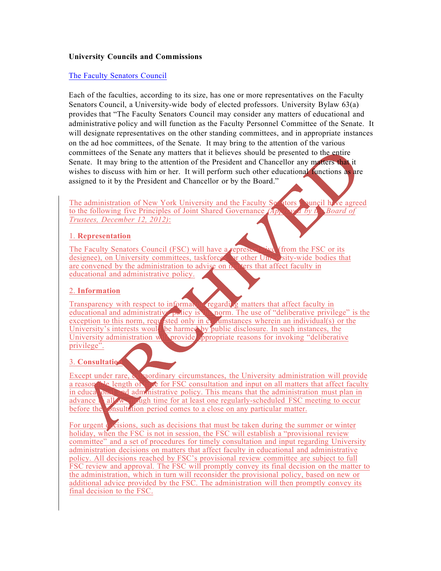## **University Councils and Commissions**

## The Faculty Senators Council

Each of the faculties, according to its size, has one or more representatives on the Faculty Senators Council, a University-wide body of elected professors. University Bylaw 63(a) provides that "The Faculty Senators Council may consider any matters of educational and administrative policy and will function as the Faculty Personnel Committee of the Senate. It will designate representatives on the other standing committees, and in appropriate instances on the ad hoc committees, of the Senate. It may bring to the attention of the various committees of the Senate any matters that it believes should be presented to the entire Senate. It may bring to the attention of the President and Chancellor any matters that it wishes to discuss with him or her. It will perform such other educational functions as are assigned to it by the President and Chancellor or by the Board."

The administration of New York University and the Faculty Senators Council have agreed to the following five Principles of Joint Shared Governance *(Ap<sub>prove</sub>d by t<sub>he</sub> Board of Trustees, December 12, 2012)*:

## 1. **Representation**

The Faculty Senators Council (FSC) will have a representative (from the FSC or its designee), on University committees, taskforces, or other University-wide bodies that are convened by the administration to advise on matters that affect faculty in educational and administrative policy.

#### 2. **Information**

Transparency with respect to information regarding matters that affect faculty in educational and administrative policy is norm. The use of "deliberative privileged" **Changeministration** and a norm. The use of "deliberative privilege" is the exception to this norm, requested only in  $\mathbf{c}_i$  alumination and individual(s) or the University's interests would be harmed by public disclosure. In such instances, the University administration will provide *s*propriate reasons for invoking "deliberative privilege".

#### 3. **Consultation**

Except under rare, extraordinary circumstances, the University administration will provide a reason the length of time for FSC consultation and input on all matters that affect faculty in educational and administrative policy. This means that the administration must plan in advance to allow enough time for at least one regularly-scheduled FSC meeting to occur before the consultation period comes to a close on any particular matter.

For urgent decisions, such as decisions that must be taken during the summer or winter holiday, when the FSC is not in session, the FSC will establish a "provisional review" committee" and a set of procedures for timely consultation and input regarding University administration decisions on matters that affect faculty in educational and administrative policy. All decisions reached by FSC's provisional review committee are subject to full FSC review and approval. The FSC will promptly convey its final decision on the matter to the administration, which in turn will reconsider the provisional policy, based on new or additional advice provided by the FSC. The administration will then promptly convey its final decision to the FSC.